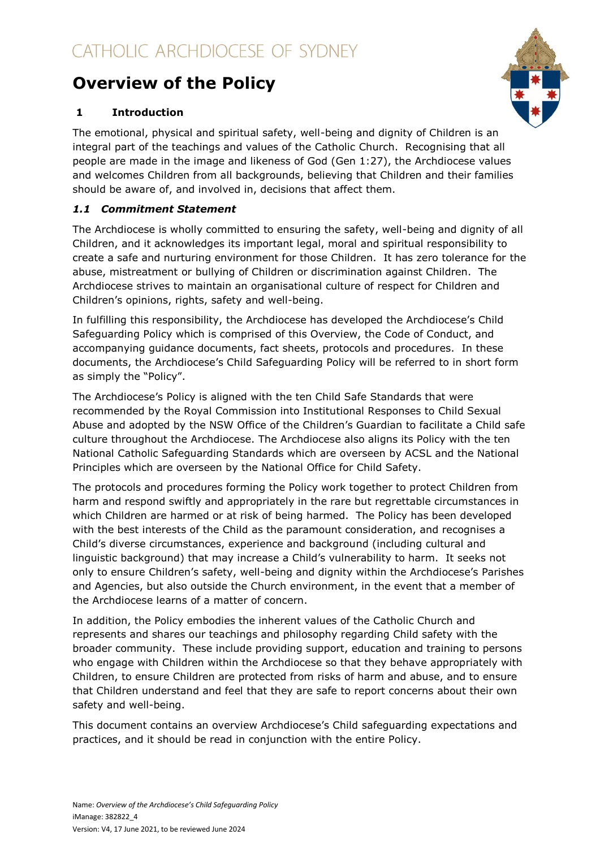# **Overview of the Policy**

# **1 Introduction**

The emotional, physical and spiritual safety, well-being and dignity of Children is an integral part of the teachings and values of the Catholic Church. Recognising that all people are made in the image and likeness of God (Gen 1:27), the Archdiocese values and welcomes Children from all backgrounds, believing that Children and their families should be aware of, and involved in, decisions that affect them.

# *1.1 Commitment Statement*

The Archdiocese is wholly committed to ensuring the safety, well-being and dignity of all Children, and it acknowledges its important legal, moral and spiritual responsibility to create a safe and nurturing environment for those Children. It has zero tolerance for the abuse, mistreatment or bullying of Children or discrimination against Children. The Archdiocese strives to maintain an organisational culture of respect for Children and Children's opinions, rights, safety and well-being.

In fulfilling this responsibility, the Archdiocese has developed the Archdiocese's Child Safeguarding Policy which is comprised of this Overview, the Code of Conduct, and accompanying guidance documents, fact sheets, protocols and procedures. In these documents, the Archdiocese's Child Safeguarding Policy will be referred to in short form as simply the "Policy".

The Archdiocese's Policy is aligned with the ten Child Safe Standards that were recommended by the Royal Commission into Institutional Responses to Child Sexual Abuse and adopted by the NSW Office of the Children's Guardian to facilitate a Child safe culture throughout the Archdiocese. The Archdiocese also aligns its Policy with the ten National Catholic Safeguarding Standards which are overseen by ACSL and the National Principles which are overseen by the National Office for Child Safety.

The protocols and procedures forming the Policy work together to protect Children from harm and respond swiftly and appropriately in the rare but regrettable circumstances in which Children are harmed or at risk of being harmed. The Policy has been developed with the best interests of the Child as the paramount consideration, and recognises a Child's diverse circumstances, experience and background (including cultural and linguistic background) that may increase a Child's vulnerability to harm. It seeks not only to ensure Children's safety, well-being and dignity within the Archdiocese's Parishes and Agencies, but also outside the Church environment, in the event that a member of the Archdiocese learns of a matter of concern.

In addition, the Policy embodies the inherent values of the Catholic Church and represents and shares our teachings and philosophy regarding Child safety with the broader community. These include providing support, education and training to persons who engage with Children within the Archdiocese so that they behave appropriately with Children, to ensure Children are protected from risks of harm and abuse, and to ensure that Children understand and feel that they are safe to report concerns about their own safety and well-being.

This document contains an overview Archdiocese's Child safeguarding expectations and practices, and it should be read in conjunction with the entire Policy.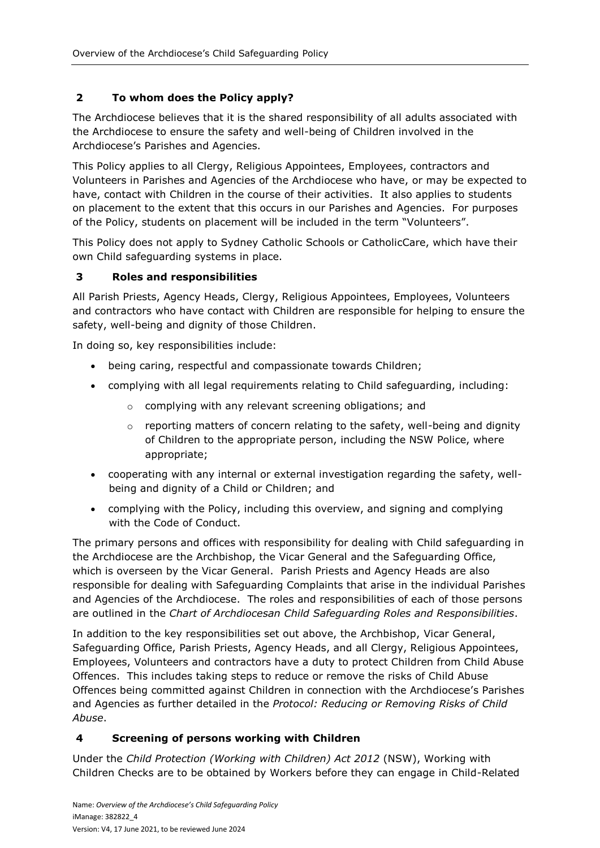# **2 To whom does the Policy apply?**

The Archdiocese believes that it is the shared responsibility of all adults associated with the Archdiocese to ensure the safety and well-being of Children involved in the Archdiocese's Parishes and Agencies.

This Policy applies to all Clergy, Religious Appointees, Employees, contractors and Volunteers in Parishes and Agencies of the Archdiocese who have, or may be expected to have, contact with Children in the course of their activities. It also applies to students on placement to the extent that this occurs in our Parishes and Agencies. For purposes of the Policy, students on placement will be included in the term "Volunteers".

This Policy does not apply to Sydney Catholic Schools or CatholicCare, which have their own Child safeguarding systems in place.

#### **3 Roles and responsibilities**

All Parish Priests, Agency Heads, Clergy, Religious Appointees, Employees, Volunteers and contractors who have contact with Children are responsible for helping to ensure the safety, well-being and dignity of those Children.

In doing so, key responsibilities include:

- being caring, respectful and compassionate towards Children;
- complying with all legal requirements relating to Child safeguarding, including:
	- o complying with any relevant screening obligations; and
	- $\circ$  reporting matters of concern relating to the safety, well-being and dignity of Children to the appropriate person, including the NSW Police, where appropriate;
- cooperating with any internal or external investigation regarding the safety, wellbeing and dignity of a Child or Children; and
- complying with the Policy, including this overview, and signing and complying with the Code of Conduct.

The primary persons and offices with responsibility for dealing with Child safeguarding in the Archdiocese are the Archbishop, the Vicar General and the Safeguarding Office, which is overseen by the Vicar General. Parish Priests and Agency Heads are also responsible for dealing with Safeguarding Complaints that arise in the individual Parishes and Agencies of the Archdiocese. The roles and responsibilities of each of those persons are outlined in the *Chart of Archdiocesan Child Safeguarding Roles and Responsibilities*.

In addition to the key responsibilities set out above, the Archbishop, Vicar General, Safeguarding Office, Parish Priests, Agency Heads, and all Clergy, Religious Appointees, Employees, Volunteers and contractors have a duty to protect Children from Child Abuse Offences. This includes taking steps to reduce or remove the risks of Child Abuse Offences being committed against Children in connection with the Archdiocese's Parishes and Agencies as further detailed in the *Protocol: Reducing or Removing Risks of Child Abuse*.

#### **4 Screening of persons working with Children**

Under the *Child Protection (Working with Children) Act 2012* (NSW), Working with Children Checks are to be obtained by Workers before they can engage in Child-Related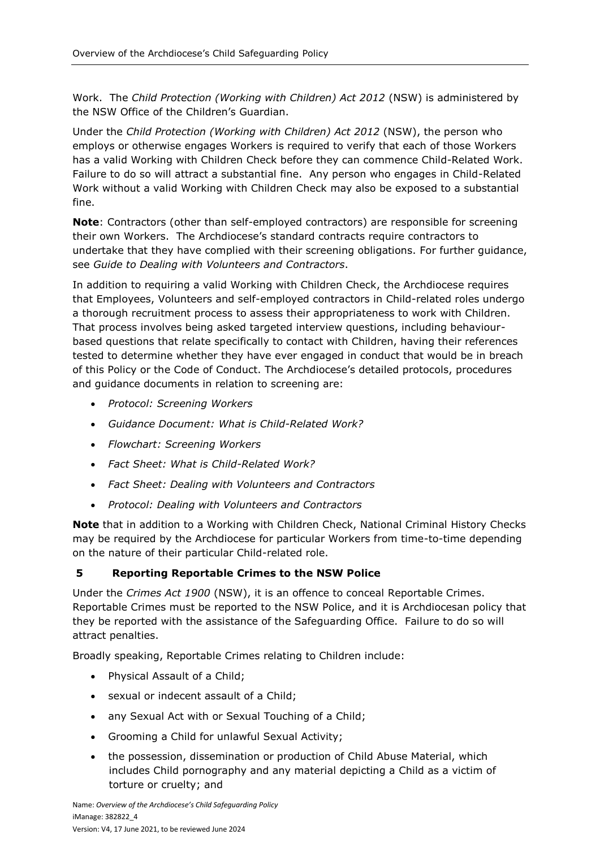Work. The *Child Protection (Working with Children) Act 2012* (NSW) is administered by the NSW Office of the Children's Guardian.

Under the *Child Protection (Working with Children) Act 2012* (NSW), the person who employs or otherwise engages Workers is required to verify that each of those Workers has a valid Working with Children Check before they can commence Child-Related Work. Failure to do so will attract a substantial fine. Any person who engages in Child-Related Work without a valid Working with Children Check may also be exposed to a substantial fine.

**Note**: Contractors (other than self-employed contractors) are responsible for screening their own Workers. The Archdiocese's standard contracts require contractors to undertake that they have complied with their screening obligations. For further guidance, see *Guide to Dealing with Volunteers and Contractors*.

In addition to requiring a valid Working with Children Check, the Archdiocese requires that Employees, Volunteers and self-employed contractors in Child-related roles undergo a thorough recruitment process to assess their appropriateness to work with Children. That process involves being asked targeted interview questions, including behaviourbased questions that relate specifically to contact with Children, having their references tested to determine whether they have ever engaged in conduct that would be in breach of this Policy or the Code of Conduct. The Archdiocese's detailed protocols, procedures and guidance documents in relation to screening are:

- *Protocol: Screening Workers*
- *Guidance Document: What is Child-Related Work?*
- *Flowchart: Screening Workers*
- *Fact Sheet: What is Child-Related Work?*
- *Fact Sheet: Dealing with Volunteers and Contractors*
- *Protocol: Dealing with Volunteers and Contractors*

**Note** that in addition to a Working with Children Check, National Criminal History Checks may be required by the Archdiocese for particular Workers from time-to-time depending on the nature of their particular Child-related role.

#### **5 Reporting Reportable Crimes to the NSW Police**

Under the *Crimes Act 1900* (NSW), it is an offence to conceal Reportable Crimes. Reportable Crimes must be reported to the NSW Police, and it is Archdiocesan policy that they be reported with the assistance of the Safeguarding Office. Failure to do so will attract penalties.

Broadly speaking, Reportable Crimes relating to Children include:

- Physical Assault of a Child;
- sexual or indecent assault of a Child;
- any Sexual Act with or Sexual Touching of a Child;
- Grooming a Child for unlawful Sexual Activity;
- the possession, dissemination or production of Child Abuse Material, which includes Child pornography and any material depicting a Child as a victim of torture or cruelty; and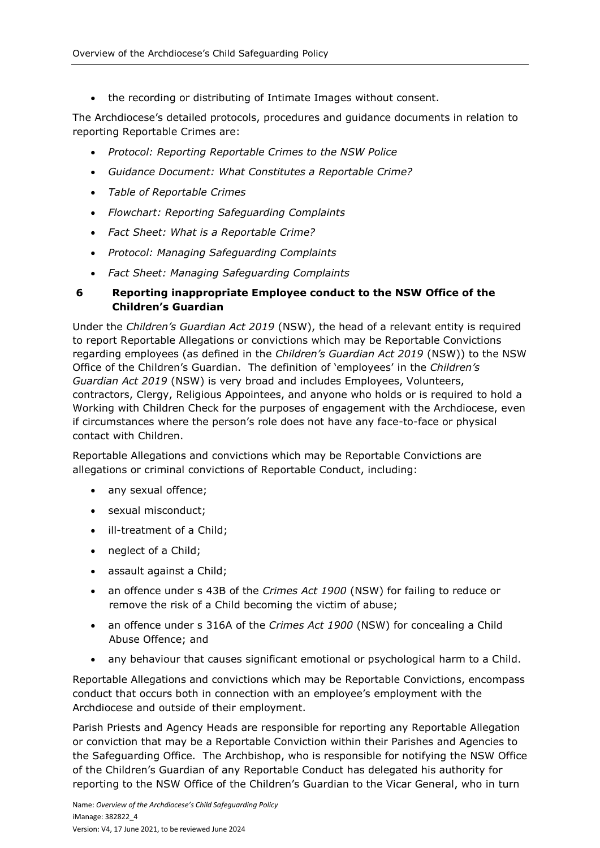the recording or distributing of Intimate Images without consent.

The Archdiocese's detailed protocols, procedures and guidance documents in relation to reporting Reportable Crimes are:

- *Protocol: Reporting Reportable Crimes to the NSW Police*
- *Guidance Document: What Constitutes a Reportable Crime?*
- *Table of Reportable Crimes*
- *Flowchart: Reporting Safeguarding Complaints*
- *Fact Sheet: What is a Reportable Crime?*
- *Protocol: Managing Safeguarding Complaints*
- *Fact Sheet: Managing Safeguarding Complaints*

# **6 Reporting inappropriate Employee conduct to the NSW Office of the Children's Guardian**

Under the *Children's Guardian Act 2019* (NSW), the head of a relevant entity is required to report Reportable Allegations or convictions which may be Reportable Convictions regarding employees (as defined in the *Children's Guardian Act 2019* (NSW)) to the NSW Office of the Children's Guardian. The definition of 'employees' in the *Children's Guardian Act 2019* (NSW) is very broad and includes Employees, Volunteers, contractors, Clergy, Religious Appointees, and anyone who holds or is required to hold a Working with Children Check for the purposes of engagement with the Archdiocese, even if circumstances where the person's role does not have any face-to-face or physical contact with Children.

Reportable Allegations and convictions which may be Reportable Convictions are allegations or criminal convictions of Reportable Conduct, including:

- any sexual offence;
- sexual misconduct;
- ill-treatment of a Child;
- neglect of a Child;
- assault against a Child;
- an offence under s 43B of the *Crimes Act 1900* (NSW) for failing to reduce or remove the risk of a Child becoming the victim of abuse;
- an offence under s 316A of the *Crimes Act 1900* (NSW) for concealing a Child Abuse Offence; and
- any behaviour that causes significant emotional or psychological harm to a Child.

Reportable Allegations and convictions which may be Reportable Convictions, encompass conduct that occurs both in connection with an employee's employment with the Archdiocese and outside of their employment.

Parish Priests and Agency Heads are responsible for reporting any Reportable Allegation or conviction that may be a Reportable Conviction within their Parishes and Agencies to the Safeguarding Office. The Archbishop, who is responsible for notifying the NSW Office of the Children's Guardian of any Reportable Conduct has delegated his authority for reporting to the NSW Office of the Children's Guardian to the Vicar General, who in turn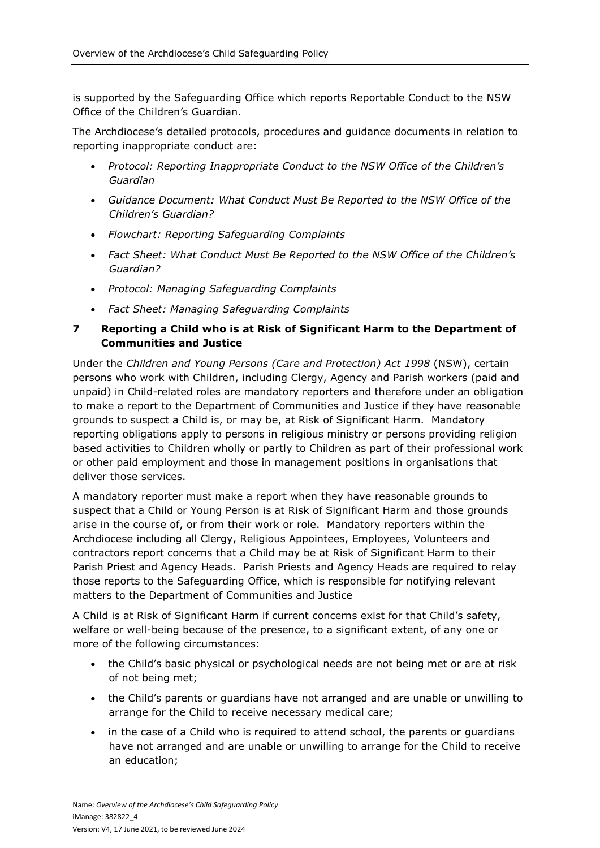is supported by the Safeguarding Office which reports Reportable Conduct to the NSW Office of the Children's Guardian.

The Archdiocese's detailed protocols, procedures and guidance documents in relation to reporting inappropriate conduct are:

- *Protocol: Reporting Inappropriate Conduct to the NSW Office of the Children's Guardian*
- *Guidance Document: What Conduct Must Be Reported to the NSW Office of the Children's Guardian?*
- *Flowchart: Reporting Safeguarding Complaints*
- *Fact Sheet: What Conduct Must Be Reported to the NSW Office of the Children's Guardian?*
- *Protocol: Managing Safeguarding Complaints*
- *Fact Sheet: Managing Safeguarding Complaints*

# **7 Reporting a Child who is at Risk of Significant Harm to the Department of Communities and Justice**

Under the *Children and Young Persons (Care and Protection) Act 1998* (NSW), certain persons who work with Children, including Clergy, Agency and Parish workers (paid and unpaid) in Child-related roles are mandatory reporters and therefore under an obligation to make a report to the Department of Communities and Justice if they have reasonable grounds to suspect a Child is, or may be, at Risk of Significant Harm. Mandatory reporting obligations apply to persons in religious ministry or persons providing religion based activities to Children wholly or partly to Children as part of their professional work or other paid employment and those in management positions in organisations that deliver those services.

A mandatory reporter must make a report when they have reasonable grounds to suspect that a Child or Young Person is at Risk of Significant Harm and those grounds arise in the course of, or from their work or role. Mandatory reporters within the Archdiocese including all Clergy, Religious Appointees, Employees, Volunteers and contractors report concerns that a Child may be at Risk of Significant Harm to their Parish Priest and Agency Heads. Parish Priests and Agency Heads are required to relay those reports to the Safeguarding Office, which is responsible for notifying relevant matters to the Department of Communities and Justice

A Child is at Risk of Significant Harm if current concerns exist for that Child's safety, welfare or well-being because of the presence, to a significant extent, of any one or more of the following circumstances:

- the Child's basic physical or psychological needs are not being met or are at risk of not being met;
- the Child's parents or guardians have not arranged and are unable or unwilling to arrange for the Child to receive necessary medical care;
- in the case of a Child who is required to attend school, the parents or guardians have not arranged and are unable or unwilling to arrange for the Child to receive an education;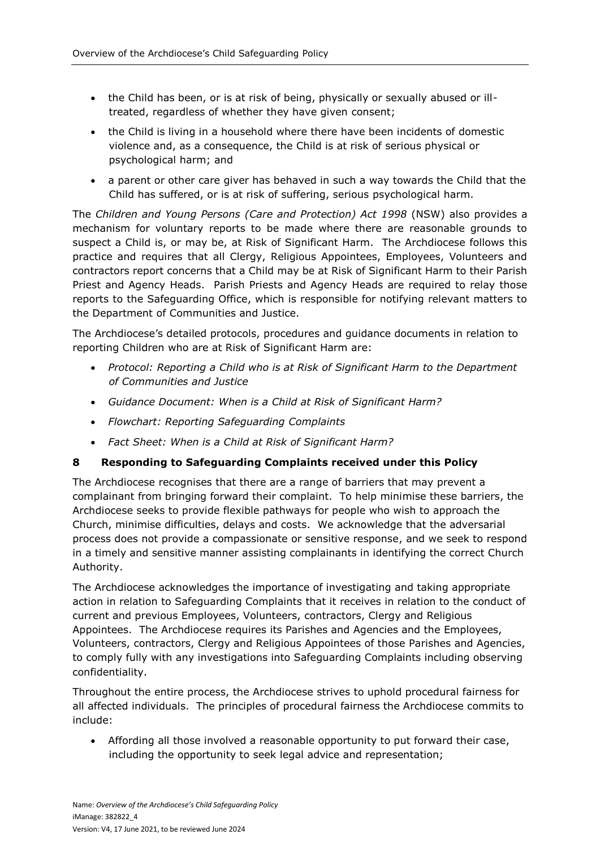- the Child has been, or is at risk of being, physically or sexually abused or illtreated, regardless of whether they have given consent;
- the Child is living in a household where there have been incidents of domestic violence and, as a consequence, the Child is at risk of serious physical or psychological harm; and
- a parent or other care giver has behaved in such a way towards the Child that the Child has suffered, or is at risk of suffering, serious psychological harm.

The *Children and Young Persons (Care and Protection) Act 1998* (NSW) also provides a mechanism for voluntary reports to be made where there are reasonable grounds to suspect a Child is, or may be, at Risk of Significant Harm. The Archdiocese follows this practice and requires that all Clergy, Religious Appointees, Employees, Volunteers and contractors report concerns that a Child may be at Risk of Significant Harm to their Parish Priest and Agency Heads. Parish Priests and Agency Heads are required to relay those reports to the Safeguarding Office, which is responsible for notifying relevant matters to the Department of Communities and Justice.

The Archdiocese's detailed protocols, procedures and guidance documents in relation to reporting Children who are at Risk of Significant Harm are:

- *Protocol: Reporting a Child who is at Risk of Significant Harm to the Department of Communities and Justice*
- *Guidance Document: When is a Child at Risk of Significant Harm?*
- *Flowchart: Reporting Safeguarding Complaints*
- *Fact Sheet: When is a Child at Risk of Significant Harm?*

#### **8 Responding to Safeguarding Complaints received under this Policy**

The Archdiocese recognises that there are a range of barriers that may prevent a complainant from bringing forward their complaint. To help minimise these barriers, the Archdiocese seeks to provide flexible pathways for people who wish to approach the Church, minimise difficulties, delays and costs. We acknowledge that the adversarial process does not provide a compassionate or sensitive response, and we seek to respond in a timely and sensitive manner assisting complainants in identifying the correct Church Authority.

The Archdiocese acknowledges the importance of investigating and taking appropriate action in relation to Safeguarding Complaints that it receives in relation to the conduct of current and previous Employees, Volunteers, contractors, Clergy and Religious Appointees. The Archdiocese requires its Parishes and Agencies and the Employees, Volunteers, contractors, Clergy and Religious Appointees of those Parishes and Agencies, to comply fully with any investigations into Safeguarding Complaints including observing confidentiality.

Throughout the entire process, the Archdiocese strives to uphold procedural fairness for all affected individuals. The principles of procedural fairness the Archdiocese commits to include:

 Affording all those involved a reasonable opportunity to put forward their case, including the opportunity to seek legal advice and representation;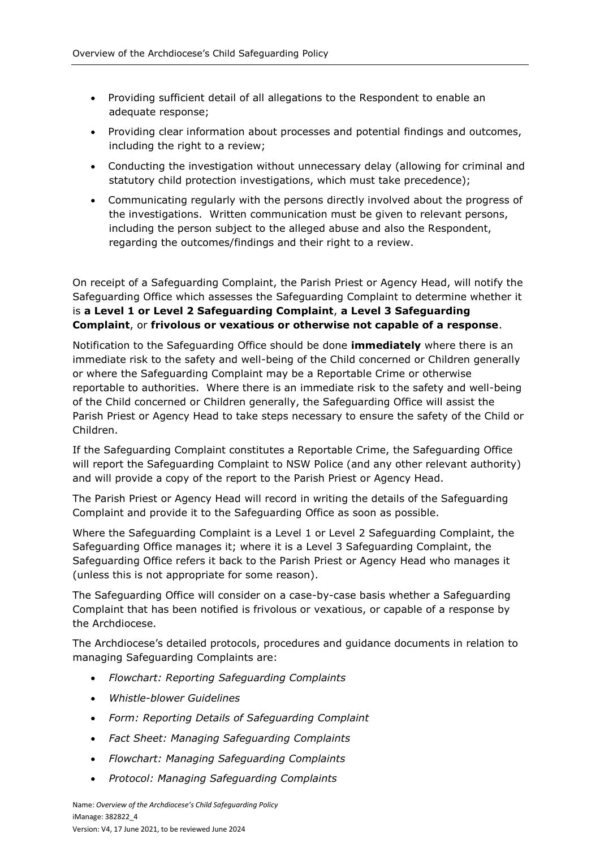- Providing sufficient detail of all allegations to the Respondent to enable an adequate response;
- Providing clear information about processes and potential findings and outcomes, including the right to a review;
- Conducting the investigation without unnecessary delay (allowing for criminal and statutory child protection investigations, which must take precedence);
- Communicating regularly with the persons directly involved about the progress of the investigations. Written communication must be given to relevant persons, including the person subject to the alleged abuse and also the Respondent, regarding the outcomes/findings and their right to a review.

On receipt of a Safeguarding Complaint, the Parish Priest or Agency Head, will notify the Safeguarding Office which assesses the Safeguarding Complaint to determine whether it is **a Level 1 or Level 2 Safeguarding Complaint**, **a Level 3 Safeguarding Complaint**, or **frivolous or vexatious or otherwise not capable of a response**.

Notification to the Safeguarding Office should be done **immediately** where there is an immediate risk to the safety and well-being of the Child concerned or Children generally or where the Safeguarding Complaint may be a Reportable Crime or otherwise reportable to authorities. Where there is an immediate risk to the safety and well-being of the Child concerned or Children generally, the Safeguarding Office will assist the Parish Priest or Agency Head to take steps necessary to ensure the safety of the Child or Children.

If the Safeguarding Complaint constitutes a Reportable Crime, the Safeguarding Office will report the Safeguarding Complaint to NSW Police (and any other relevant authority) and will provide a copy of the report to the Parish Priest or Agency Head.

The Parish Priest or Agency Head will record in writing the details of the Safeguarding Complaint and provide it to the Safeguarding Office as soon as possible.

Where the Safeguarding Complaint is a Level 1 or Level 2 Safeguarding Complaint, the Safeguarding Office manages it; where it is a Level 3 Safeguarding Complaint, the Safeguarding Office refers it back to the Parish Priest or Agency Head who manages it (unless this is not appropriate for some reason).

The Safeguarding Office will consider on a case-by-case basis whether a Safeguarding Complaint that has been notified is frivolous or vexatious, or capable of a response by the Archdiocese.

The Archdiocese's detailed protocols, procedures and guidance documents in relation to managing Safeguarding Complaints are:

- *Flowchart: Reporting Safeguarding Complaints*
- *Whistle-blower Guidelines*
- *Form: Reporting Details of Safeguarding Complaint*
- *Fact Sheet: Managing Safeguarding Complaints*
- *Flowchart: Managing Safeguarding Complaints*
- *Protocol: Managing Safeguarding Complaints*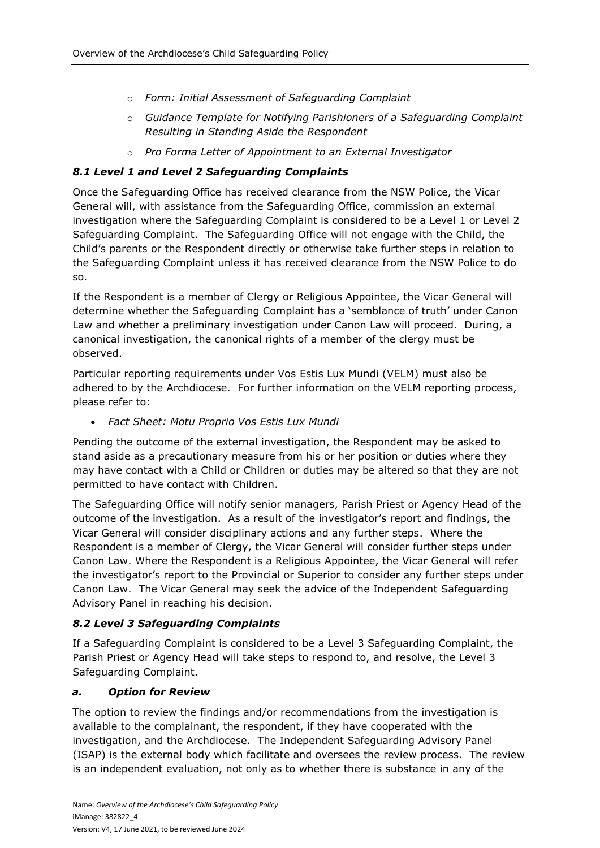- o *Form: Initial Assessment of Safeguarding Complaint*
- o *Guidance Template for Notifying Parishioners of a Safeguarding Complaint Resulting in Standing Aside the Respondent*
- o *Pro Forma Letter of Appointment to an External Investigator*

# *8.1 Level 1 and Level 2 Safeguarding Complaints*

Once the Safeguarding Office has received clearance from the NSW Police, the Vicar General will, with assistance from the Safeguarding Office, commission an external investigation where the Safeguarding Complaint is considered to be a Level 1 or Level 2 Safeguarding Complaint. The Safeguarding Office will not engage with the Child, the Child's parents or the Respondent directly or otherwise take further steps in relation to the Safeguarding Complaint unless it has received clearance from the NSW Police to do so.

If the Respondent is a member of Clergy or Religious Appointee, the Vicar General will determine whether the Safeguarding Complaint has a 'semblance of truth' under Canon Law and whether a preliminary investigation under Canon Law will proceed. During, a canonical investigation, the canonical rights of a member of the clergy must be observed.

Particular reporting requirements under Vos Estis Lux Mundi (VELM) must also be adhered to by the Archdiocese. For further information on the VELM reporting process, please refer to:

*Fact Sheet: Motu Proprio Vos Estis Lux Mundi*

Pending the outcome of the external investigation, the Respondent may be asked to stand aside as a precautionary measure from his or her position or duties where they may have contact with a Child or Children or duties may be altered so that they are not permitted to have contact with Children.

The Safeguarding Office will notify senior managers, Parish Priest or Agency Head of the outcome of the investigation. As a result of the investigator's report and findings, the Vicar General will consider disciplinary actions and any further steps. Where the Respondent is a member of Clergy, the Vicar General will consider further steps under Canon Law. Where the Respondent is a Religious Appointee, the Vicar General will refer the investigator's report to the Provincial or Superior to consider any further steps under Canon Law. The Vicar General may seek the advice of the Independent Safeguarding Advisory Panel in reaching his decision.

# *8.2 Level 3 Safeguarding Complaints*

If a Safeguarding Complaint is considered to be a Level 3 Safeguarding Complaint, the Parish Priest or Agency Head will take steps to respond to, and resolve, the Level 3 Safeguarding Complaint.

#### *a. Option for Review*

The option to review the findings and/or recommendations from the investigation is available to the complainant, the respondent, if they have cooperated with the investigation, and the Archdiocese. The Independent Safeguarding Advisory Panel (ISAP) is the external body which facilitate and oversees the review process. The review is an independent evaluation, not only as to whether there is substance in any of the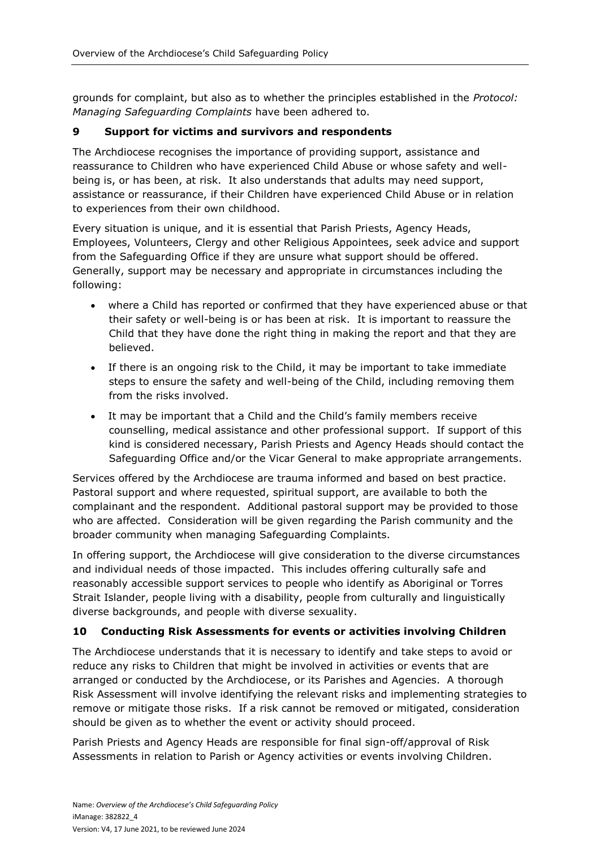grounds for complaint, but also as to whether the principles established in the *Protocol: Managing Safeguarding Complaints* have been adhered to.

#### **9 Support for victims and survivors and respondents**

The Archdiocese recognises the importance of providing support, assistance and reassurance to Children who have experienced Child Abuse or whose safety and wellbeing is, or has been, at risk. It also understands that adults may need support, assistance or reassurance, if their Children have experienced Child Abuse or in relation to experiences from their own childhood.

Every situation is unique, and it is essential that Parish Priests, Agency Heads, Employees, Volunteers, Clergy and other Religious Appointees, seek advice and support from the Safeguarding Office if they are unsure what support should be offered. Generally, support may be necessary and appropriate in circumstances including the following:

- where a Child has reported or confirmed that they have experienced abuse or that their safety or well-being is or has been at risk. It is important to reassure the Child that they have done the right thing in making the report and that they are believed.
- If there is an ongoing risk to the Child, it may be important to take immediate steps to ensure the safety and well-being of the Child, including removing them from the risks involved.
- It may be important that a Child and the Child's family members receive counselling, medical assistance and other professional support. If support of this kind is considered necessary, Parish Priests and Agency Heads should contact the Safeguarding Office and/or the Vicar General to make appropriate arrangements.

Services offered by the Archdiocese are trauma informed and based on best practice. Pastoral support and where requested, spiritual support, are available to both the complainant and the respondent. Additional pastoral support may be provided to those who are affected. Consideration will be given regarding the Parish community and the broader community when managing Safeguarding Complaints.

In offering support, the Archdiocese will give consideration to the diverse circumstances and individual needs of those impacted. This includes offering culturally safe and reasonably accessible support services to people who identify as Aboriginal or Torres Strait Islander, people living with a disability, people from culturally and linguistically diverse backgrounds, and people with diverse sexuality.

#### **10 Conducting Risk Assessments for events or activities involving Children**

The Archdiocese understands that it is necessary to identify and take steps to avoid or reduce any risks to Children that might be involved in activities or events that are arranged or conducted by the Archdiocese, or its Parishes and Agencies. A thorough Risk Assessment will involve identifying the relevant risks and implementing strategies to remove or mitigate those risks. If a risk cannot be removed or mitigated, consideration should be given as to whether the event or activity should proceed.

Parish Priests and Agency Heads are responsible for final sign-off/approval of Risk Assessments in relation to Parish or Agency activities or events involving Children.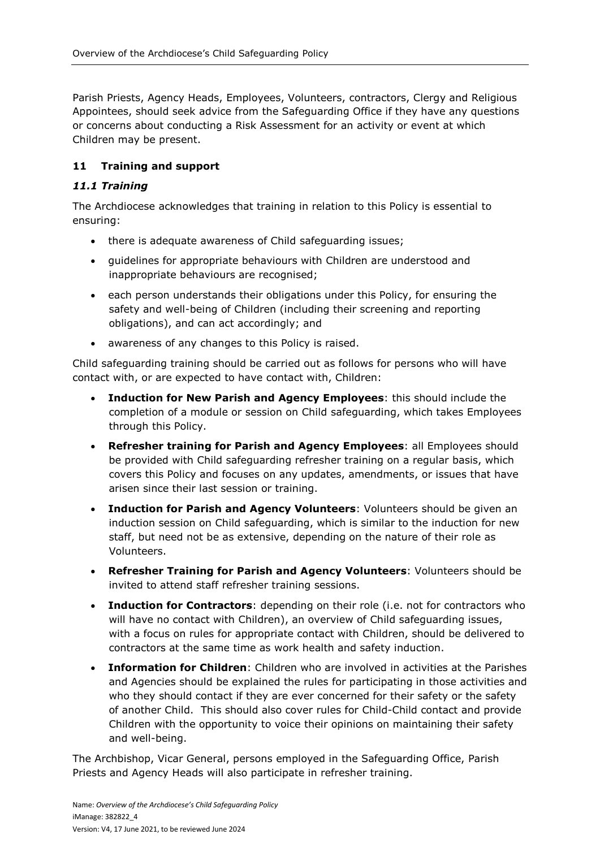Parish Priests, Agency Heads, Employees, Volunteers, contractors, Clergy and Religious Appointees, should seek advice from the Safeguarding Office if they have any questions or concerns about conducting a Risk Assessment for an activity or event at which Children may be present.

# **11 Training and support**

# *11.1 Training*

The Archdiocese acknowledges that training in relation to this Policy is essential to ensuring:

- there is adequate awareness of Child safeguarding issues;
- guidelines for appropriate behaviours with Children are understood and inappropriate behaviours are recognised;
- each person understands their obligations under this Policy, for ensuring the safety and well-being of Children (including their screening and reporting obligations), and can act accordingly; and
- awareness of any changes to this Policy is raised.

Child safeguarding training should be carried out as follows for persons who will have contact with, or are expected to have contact with, Children:

- **Induction for New Parish and Agency Employees**: this should include the completion of a module or session on Child safeguarding, which takes Employees through this Policy.
- **Refresher training for Parish and Agency Employees**: all Employees should be provided with Child safeguarding refresher training on a regular basis, which covers this Policy and focuses on any updates, amendments, or issues that have arisen since their last session or training.
- **Induction for Parish and Agency Volunteers**: Volunteers should be given an induction session on Child safeguarding, which is similar to the induction for new staff, but need not be as extensive, depending on the nature of their role as Volunteers.
- **Refresher Training for Parish and Agency Volunteers**: Volunteers should be invited to attend staff refresher training sessions.
- **Induction for Contractors**: depending on their role (i.e. not for contractors who will have no contact with Children), an overview of Child safeguarding issues, with a focus on rules for appropriate contact with Children, should be delivered to contractors at the same time as work health and safety induction.
- **Information for Children**: Children who are involved in activities at the Parishes and Agencies should be explained the rules for participating in those activities and who they should contact if they are ever concerned for their safety or the safety of another Child. This should also cover rules for Child-Child contact and provide Children with the opportunity to voice their opinions on maintaining their safety and well-being.

The Archbishop, Vicar General, persons employed in the Safeguarding Office, Parish Priests and Agency Heads will also participate in refresher training.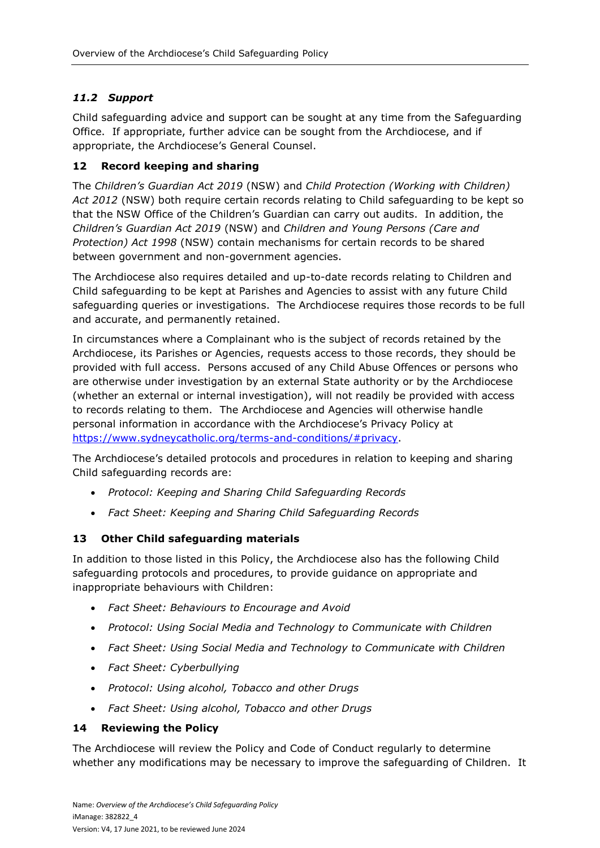# *11.2 Support*

Child safeguarding advice and support can be sought at any time from the Safeguarding Office. If appropriate, further advice can be sought from the Archdiocese, and if appropriate, the Archdiocese's General Counsel.

# **12 Record keeping and sharing**

The *Children's Guardian Act 2019* (NSW) and *Child Protection (Working with Children) Act 2012* (NSW) both require certain records relating to Child safeguarding to be kept so that the NSW Office of the Children's Guardian can carry out audits. In addition, the *Children's Guardian Act 2019* (NSW) and *Children and Young Persons (Care and Protection) Act 1998* (NSW) contain mechanisms for certain records to be shared between government and non-government agencies.

The Archdiocese also requires detailed and up-to-date records relating to Children and Child safeguarding to be kept at Parishes and Agencies to assist with any future Child safeguarding queries or investigations. The Archdiocese requires those records to be full and accurate, and permanently retained.

In circumstances where a Complainant who is the subject of records retained by the Archdiocese, its Parishes or Agencies, requests access to those records, they should be provided with full access. Persons accused of any Child Abuse Offences or persons who are otherwise under investigation by an external State authority or by the Archdiocese (whether an external or internal investigation), will not readily be provided with access to records relating to them. The Archdiocese and Agencies will otherwise handle personal information in accordance with the Archdiocese's Privacy Policy at [https://www.sydneycatholic.org/terms-and-conditions/#privacy.](https://www.sydneycatholic.org/terms-and-conditions/#privacy)

The Archdiocese's detailed protocols and procedures in relation to keeping and sharing Child safeguarding records are:

- *Protocol: Keeping and Sharing Child Safeguarding Records*
- *Fact Sheet: Keeping and Sharing Child Safeguarding Records*

# **13 Other Child safeguarding materials**

In addition to those listed in this Policy, the Archdiocese also has the following Child safeguarding protocols and procedures, to provide guidance on appropriate and inappropriate behaviours with Children:

- *Fact Sheet: Behaviours to Encourage and Avoid*
- *Protocol: Using Social Media and Technology to Communicate with Children*
- *Fact Sheet: Using Social Media and Technology to Communicate with Children*
- *Fact Sheet: Cyberbullying*
- *Protocol: Using alcohol, Tobacco and other Drugs*
- *Fact Sheet: Using alcohol, Tobacco and other Drugs*

#### **14 Reviewing the Policy**

The Archdiocese will review the Policy and Code of Conduct regularly to determine whether any modifications may be necessary to improve the safeguarding of Children. It